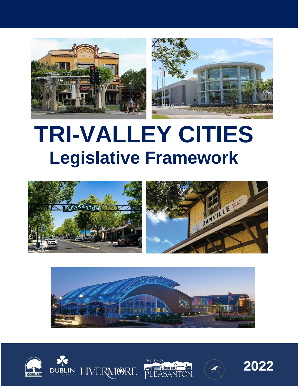

# **TRI-VALLEY CITIES Legislative Framework**













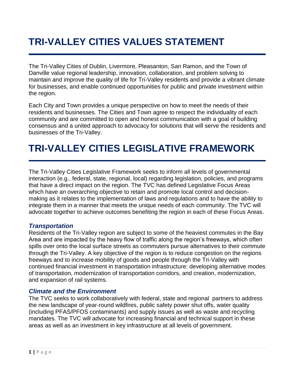## **TRI-VALLEY CITIES VALUES STATEMENT**

The Tri-Valley Cities of Dublin, Livermore, Pleasanton, San Ramon, and the Town of Danville value regional leadership, innovation, collaboration, and problem solving to maintain and improve the quality of life for Tri-Valley residents and provide a vibrant climate for businesses, and enable continued opportunities for public and private investment within the region.

Each City and Town provides a unique perspective on how to meet the needs of their residents and businesses. The Cities and Town agree to respect the individuality of each community and are committed to open and honest communication with a goal of building consensus and a united approach to advocacy for solutions that will serve the residents and businesses of the Tri-Valley.

### **TRI-VALLEY CITIES LEGISLATIVE FRAMEWORK**

The Tri-Valley Cities Legislative Framework seeks to inform all levels of governmental interaction (e.g., federal, state, regional, local) regarding legislation, policies, and programs that have a direct impact on the region. The TVC has defined Legislative Focus Areas which have an overarching objective to retain and promote local control and decisionmaking as it relates to the implementation of laws and regulations and to have the ability to integrate them in a manner that meets the unique needs of each community. The TVC will advocate together to achieve outcomes benefiting the region in each of these Focus Areas.

#### *Transportation*

Residents of the Tri-Valley region are subject to some of the heaviest commutes in the Bay Area and are impacted by the heavy flow of traffic along the region's freeways, which often spills over onto the local surface streets as commuters pursue alternatives to their commute through the Tri-Valley. A key objective of the region is to reduce congestion on the regions freeways and to increase mobility of goods and people through the Tri-Valley with continued financial investment in transportation infrastructure: developing alternative modes of transportation, modernization of transportation corridors, and creation, modernization, and expansion of rail systems.

#### *Climate and the Environment*

The TVC seeks to work collaboratively with federal, state and regional partners to address the new landscape of year-round wildfires, public safety power shut offs, water quality (including PFAS/PFOS contaminants) and supply issues as well as waste and recycling mandates. The TVC will advocate for increasing financial and technical support in these areas as well as an investment in key infrastructure at all levels of government.